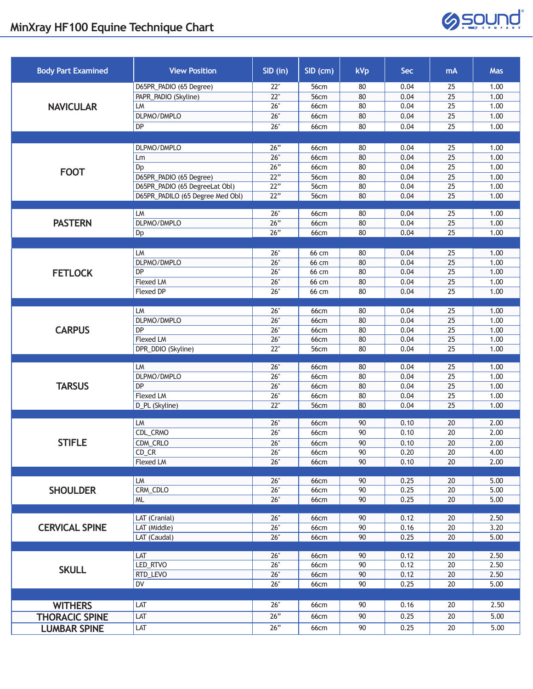## **MinXray HF100 Equine Technique Chart**



| <b>Body Part Examined</b> | <b>View Position</b>             | SID (in)          | SID (cm)            | <b>kVp</b> | <b>Sec</b>   | mA                    | <b>Mas</b>   |
|---------------------------|----------------------------------|-------------------|---------------------|------------|--------------|-----------------------|--------------|
| <b>NAVICULAR</b>          | D65PR_PADIO (65 Degree)          | 22"               | 56cm                | 80         | 0.04         | 25                    | 1.00         |
|                           | PAPR_PADIO (Skyline)             | 22"               | 56cm                | 80         | 0.04         | 25                    | 1.00         |
|                           | LM                               | 26"               | 66cm                | 80         | 0.04         | 25                    | 1.00         |
|                           | DLPMO/DMPLO                      | 26"               | <b>66cm</b>         | 80         | 0.04         | 25                    | 1.00         |
|                           | DP                               | 26"               | <b>66cm</b>         | 80         | 0.04         | 25                    | 1.00         |
|                           |                                  |                   |                     |            |              |                       |              |
| <b>FOOT</b>               | DLPMO/DMPLO                      | 26"               | 66cm                | 80         | 0.04         | 25                    | 1.00         |
|                           | Lm                               | 26"               | 66cm                | 80         | 0.04         | $\overline{25}$       | 1.00         |
|                           | Dp                               | 26"               | 66cm                | 80         | 0.04         | $\overline{25}$       | 1.00         |
|                           | D65PR_PADIO (65 Degree)          | $\overline{22}$ " | 56cm                | 80         | 0.04         | $\overline{25}$       | 1.00         |
|                           | D65PR_PADIO (65 DegreeLat Obl)   | 22"               | 56cm                | 80         | 0.04         | 25                    | 1.00         |
|                           | D65PR_PADILO (65 Degree Med Obl) | 22"               | 56cm                | 80         | 0.04         | 25                    | 1.00         |
|                           | LM                               | 26"               | 66cm                | 80         | 0.04         | 25                    | 1.00         |
| <b>PASTERN</b>            | DLPMO/DMPLO                      | 26"               | 66cm                | 80         | 0.04         | 25                    | 1.00         |
|                           | Dp                               | 26"               | 66cm                | 80         | 0.04         | 25                    | 1.00         |
|                           |                                  |                   |                     |            |              |                       |              |
|                           | LM                               | 26"               | 66 cm               | 80         | 0.04         | 25                    | 1.00         |
|                           | DLPMO/DMPLO                      | 26"               | 66 cm               | 80         | 0.04         | 25                    | 1.00         |
| <b>FETLOCK</b>            | DP                               | 26"               | 66 cm               | 80         | 0.04         | $\overline{25}$       | 1.00         |
|                           | <b>Flexed LM</b>                 | 26"               | 66 cm               | 80         | 0.04         | 25                    | 1.00         |
|                           | <b>Flexed DP</b>                 | 26"               | 66 cm               | 80         | 0.04         | 25                    | 1.00         |
|                           |                                  |                   |                     |            |              |                       |              |
|                           | LM                               | 26"               | 66cm                | 80         | 0.04         | 25                    | 1.00         |
|                           | DLPMO/DMPLO                      | 26"               | <b>66cm</b>         | 80         | 0.04         | 25                    | 1.00         |
| <b>CARPUS</b>             | <b>DP</b>                        | 26"               | 66cm                | 80         | 0.04         | 25                    | 1.00         |
|                           | Flexed LM                        | 26"<br>22"        | 66cm                | 80<br>80   | 0.04<br>0.04 | $\overline{25}$<br>25 | 1.00<br>1.00 |
|                           | DPR_DDIO (Skyline)               |                   | 56cm                |            |              |                       |              |
|                           | LM                               | 26"               | 66cm                | 80         | 0.04         | 25                    | 1.00         |
|                           | DLPMO/DMPLO                      | 26"               | 66cm                | 80         | 0.04         | 25                    | 1.00         |
| <b>TARSUS</b>             | DP                               | 26"               | 66cm                | 80         | 0.04         | 25                    | 1.00         |
|                           | Flexed LM                        | 26"               | 66cm                | 80         | 0.04         | 25                    | 1.00         |
|                           | D_PL (Skyline)                   | 22"               | 56cm                | 80         | 0.04         | 25                    | 1.00         |
| <b>STIFLE</b>             |                                  |                   |                     |            |              |                       |              |
|                           | LM<br>CDL_CRMO                   | 26"<br>26"        | 66cm                | 90<br>90   | 0.10         | 20<br>20              | 2.00<br>2.00 |
|                           |                                  |                   | 66cm                |            | 0.10         |                       |              |
|                           | CDM_CRLO<br>$CD_C$ R             | 26"<br>26"        | <b>66cm</b><br>66cm | 90<br>90   | 0.10<br>0.20 | 20<br>20              | 2.00<br>4.00 |
|                           | <b>Flexed LM</b>                 | 26"               | <b>66cm</b>         | 90         | 0.10         | 20                    | 2.00         |
|                           |                                  |                   |                     |            |              |                       |              |
| <b>SHOULDER</b>           | <b>LM</b>                        | 26"               | 66cm                | 90         | 0.25         | 20                    | 5.00         |
|                           | CRM_CDLO                         | 26"               | 66cm                | 90         | 0.25         | 20                    | 5.00         |
|                           | <b>ML</b>                        | 26"               | 66cm                | 90         | 0.25         | 20                    | 5.00         |
|                           |                                  |                   |                     |            |              |                       |              |
| <b>CERVICAL SPINE</b>     | LAT (Cranial)                    | 26"               | 66cm                | 90         | 0.12         | 20                    | 2.50         |
|                           | LAT (Middle)<br>LAT (Caudal)     | 26"<br>26"        | <b>66cm</b>         | 90<br>90   | 0.16<br>0.25 | 20<br>20              | 3.20<br>5.00 |
|                           |                                  |                   | 66cm                |            |              |                       |              |
| <b>SKULL</b>              | LAT                              | 26"               | 66cm                | 90         | 0.12         | 20                    | 2.50         |
|                           | LED_RTVO                         | 26"               | 66cm                | $90\,$     | 0.12         | $20\,$                | 2.50         |
|                           | RTD_LEVO                         | 26"               | 66cm                | 90         | 0.12         | 20                    | 2.50         |
|                           | DV                               | 26"               | 66cm                | 90         | 0.25         | 20                    | 5.00         |
|                           |                                  |                   |                     |            |              |                       |              |
| <b>WITHERS</b>            | LAT                              | 26"               | 66cm                | 90         | 0.16         | 20                    | 2.50         |
| <b>THORACIC SPINE</b>     | LAT                              | 26"               | 66cm                | 90         | 0.25         | 20                    | 5.00         |
| <b>LUMBAR SPINE</b>       | LAT                              | 26"               | 66cm                | 90         | 0.25         | 20                    | 5.00         |
|                           |                                  |                   |                     |            |              |                       |              |